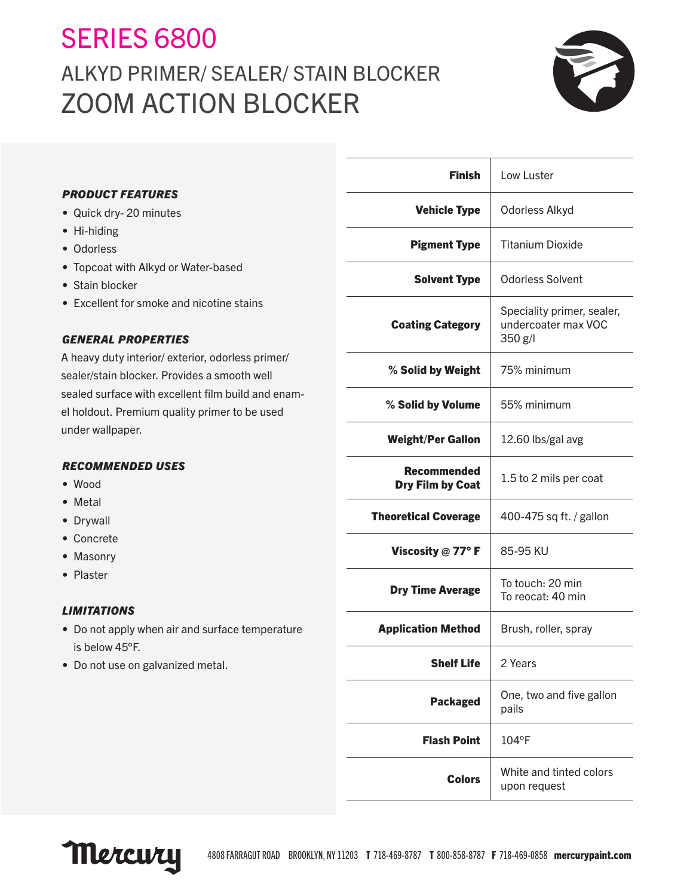# SERIES 6800 ALKYD PRIMER/ SEALER/ STAIN BLOCKER ZOOM ACTION BLOCKER



# *PRODUCT FEATURES*

- Quick dry- 20 minutes
- Hi-hiding
- Odorless
- Topcoat with Alkyd or Water-based
- Stain blocker
- Excellent for smoke and nicotine stains

# *GENERAL PROPERTIES*

A heavy duty interior/ exterior, odorless primer/ sealer/stain blocker. Provides a smooth well sealed surface with excellent film build and enamel holdout. Premium quality primer to be used under wallpaper.

# *RECOMMENDED USES*

- Wood
- Metal
- Drywall
- Concrete
- Masonry
- Plaster

# *LIMITATIONS*

- Do not apply when air and surface temperature is below 45°F.
- Do not use on galvanized metal.

| <b>Finish</b>                   | Low Luster                                                   |
|---------------------------------|--------------------------------------------------------------|
| <b>Vehicle Type</b>             | Odorless Alkyd                                               |
| <b>Pigment Type</b>             | <b>Titanium Dioxide</b>                                      |
| <b>Solvent Type</b>             | <b>Odorless Solvent</b>                                      |
| <b>Coating Category</b>         | Speciality primer, sealer,<br>undercoater max VOC<br>350 g/l |
| % Solid by Weight               | 75% minimum                                                  |
| % Solid by Volume               | 55% minimum                                                  |
| <b>Weight/Per Gallon</b>        | 12.60 lbs/gal avg                                            |
| Recommended<br>Dry Film by Coat | 1.5 to 2 mils per coat                                       |
| <b>Theoretical Coverage</b>     | 400-475 sq ft. / gallon                                      |
| Viscosity $@$ 77° F             | 85-95 KU                                                     |
| <b>Dry Time Average</b>         | To touch: 20 min<br>To reocat: 40 min                        |
| <b>Application Method</b>       | Brush, roller, spray                                         |
| <b>Shelf Life</b>               | 2 Years                                                      |
| <b>Packaged</b>                 | One, two and five gallon<br>pails                            |
| <b>Flash Point</b>              | $104^{\circ}$ F                                              |
| <b>Colors</b>                   | White and tinted colors<br>upon request                      |